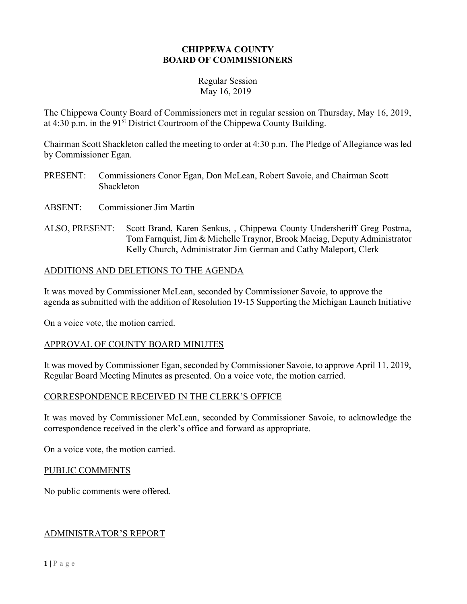### CHIPPEWA COUNTY BOARD OF COMMISSIONERS

#### Regular Session May 16, 2019

The Chippewa County Board of Commissioners met in regular session on Thursday, May 16, 2019, at  $4:30$  p.m. in the  $91<sup>st</sup>$  District Courtroom of the Chippewa County Building.

Chairman Scott Shackleton called the meeting to order at 4:30 p.m. The Pledge of Allegiance was led by Commissioner Egan.

- PRESENT: Commissioners Conor Egan, Don McLean, Robert Savoie, and Chairman Scott Shackleton
- ABSENT: Commissioner Jim Martin
- ALSO, PRESENT: Scott Brand, Karen Senkus, , Chippewa County Undersheriff Greg Postma, Tom Farnquist, Jim & Michelle Traynor, Brook Maciag, Deputy Administrator Kelly Church, Administrator Jim German and Cathy Maleport, Clerk

## ADDITIONS AND DELETIONS TO THE AGENDA

It was moved by Commissioner McLean, seconded by Commissioner Savoie, to approve the agenda as submitted with the addition of Resolution 19-15 Supporting the Michigan Launch Initiative

On a voice vote, the motion carried.

## APPROVAL OF COUNTY BOARD MINUTES

It was moved by Commissioner Egan, seconded by Commissioner Savoie, to approve April 11, 2019, Regular Board Meeting Minutes as presented. On a voice vote, the motion carried.

#### CORRESPONDENCE RECEIVED IN THE CLERK'S OFFICE

It was moved by Commissioner McLean, seconded by Commissioner Savoie, to acknowledge the correspondence received in the clerk's office and forward as appropriate.

On a voice vote, the motion carried.

#### PUBLIC COMMENTS

No public comments were offered.

#### ADMINISTRATOR'S REPORT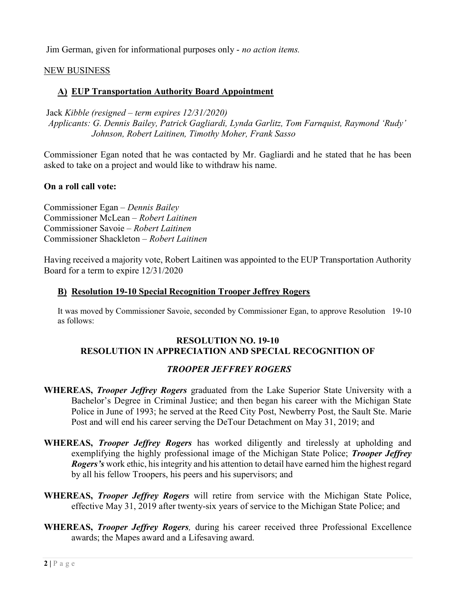Jim German, given for informational purposes only - no action items.

## NEW BUSINESS

### A) EUP Transportation Authority Board Appointment

 Jack Kibble (resigned – term expires 12/31/2020) Applicants: G. Dennis Bailey, Patrick Gagliardi, Lynda Garlitz, Tom Farnquist, Raymond 'Rudy' Johnson, Robert Laitinen, Timothy Moher, Frank Sasso

Commissioner Egan noted that he was contacted by Mr. Gagliardi and he stated that he has been asked to take on a project and would like to withdraw his name.

### On a roll call vote:

Commissioner Egan – Dennis Bailey Commissioner McLean – Robert Laitinen Commissioner Savoie – Robert Laitinen Commissioner Shackleton – Robert Laitinen

Having received a majority vote, Robert Laitinen was appointed to the EUP Transportation Authority Board for a term to expire 12/31/2020

#### B) Resolution 19-10 Special Recognition Trooper Jeffrey Rogers

It was moved by Commissioner Savoie, seconded by Commissioner Egan, to approve Resolution 19-10 as follows:

#### RESOLUTION NO. 19-10 RESOLUTION IN APPRECIATION AND SPECIAL RECOGNITION OF

## TROOPER JEFFREY ROGERS

- WHEREAS, *Trooper Jeffrey Rogers* graduated from the Lake Superior State University with a Bachelor's Degree in Criminal Justice; and then began his career with the Michigan State Police in June of 1993; he served at the Reed City Post, Newberry Post, the Sault Ste. Marie Post and will end his career serving the DeTour Detachment on May 31, 2019; and
- WHEREAS, *Trooper Jeffrey Rogers* has worked diligently and tirelessly at upholding and exemplifying the highly professional image of the Michigan State Police; *Trooper Jeffrey* Rogers's work ethic, his integrity and his attention to detail have earned him the highest regard by all his fellow Troopers, his peers and his supervisors; and
- WHEREAS, *Trooper Jeffrey Rogers* will retire from service with the Michigan State Police, effective May 31, 2019 after twenty-six years of service to the Michigan State Police; and
- WHEREAS, *Trooper Jeffrey Rogers*, during his career received three Professional Excellence awards; the Mapes award and a Lifesaving award.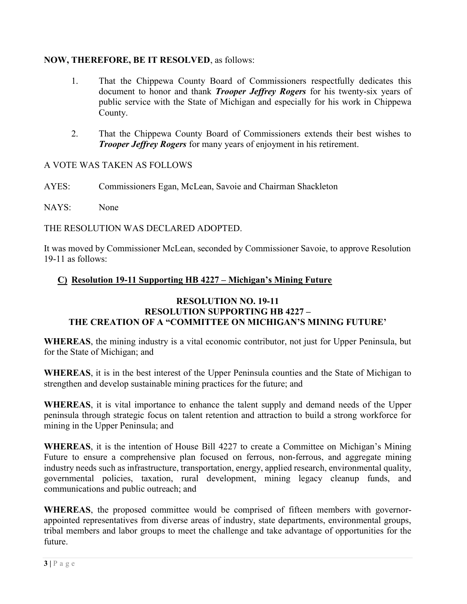## NOW, THEREFORE, BE IT RESOLVED, as follows:

- 1. That the Chippewa County Board of Commissioners respectfully dedicates this document to honor and thank *Trooper Jeffrey Rogers* for his twenty-six years of public service with the State of Michigan and especially for his work in Chippewa County.
- 2. That the Chippewa County Board of Commissioners extends their best wishes to **Trooper Jeffrey Rogers** for many years of enjoyment in his retirement.

# A VOTE WAS TAKEN AS FOLLOWS

AYES: Commissioners Egan, McLean, Savoie and Chairman Shackleton

NAYS: None

THE RESOLUTION WAS DECLARED ADOPTED.

It was moved by Commissioner McLean, seconded by Commissioner Savoie, to approve Resolution 19-11 as follows:

# C) Resolution 19-11 Supporting HB 4227 – Michigan's Mining Future

### RESOLUTION NO. 19-11 RESOLUTION SUPPORTING HB 4227 – THE CREATION OF A "COMMITTEE ON MICHIGAN'S MINING FUTURE'

WHEREAS, the mining industry is a vital economic contributor, not just for Upper Peninsula, but for the State of Michigan; and

WHEREAS, it is in the best interest of the Upper Peninsula counties and the State of Michigan to strengthen and develop sustainable mining practices for the future; and

WHEREAS, it is vital importance to enhance the talent supply and demand needs of the Upper peninsula through strategic focus on talent retention and attraction to build a strong workforce for mining in the Upper Peninsula; and

WHEREAS, it is the intention of House Bill 4227 to create a Committee on Michigan's Mining Future to ensure a comprehensive plan focused on ferrous, non-ferrous, and aggregate mining industry needs such as infrastructure, transportation, energy, applied research, environmental quality, governmental policies, taxation, rural development, mining legacy cleanup funds, and communications and public outreach; and

WHEREAS, the proposed committee would be comprised of fifteen members with governorappointed representatives from diverse areas of industry, state departments, environmental groups, tribal members and labor groups to meet the challenge and take advantage of opportunities for the future.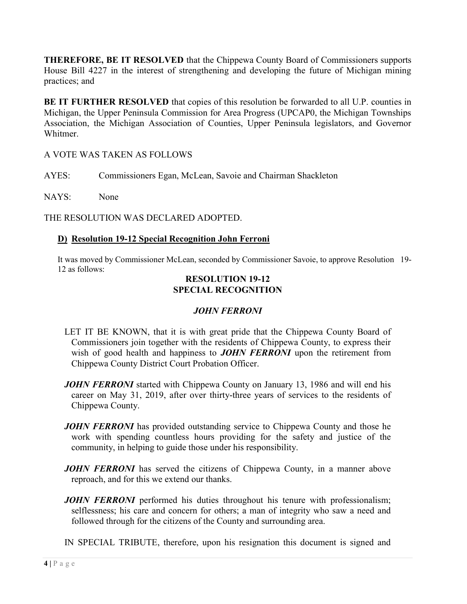THEREFORE, BE IT RESOLVED that the Chippewa County Board of Commissioners supports House Bill 4227 in the interest of strengthening and developing the future of Michigan mining practices; and

BE IT FURTHER RESOLVED that copies of this resolution be forwarded to all U.P. counties in Michigan, the Upper Peninsula Commission for Area Progress (UPCAP0, the Michigan Townships Association, the Michigan Association of Counties, Upper Peninsula legislators, and Governor Whitmer.

A VOTE WAS TAKEN AS FOLLOWS

AYES: Commissioners Egan, McLean, Savoie and Chairman Shackleton

NAYS: None

THE RESOLUTION WAS DECLARED ADOPTED.

# D) Resolution 19-12 Special Recognition John Ferroni

It was moved by Commissioner McLean, seconded by Commissioner Savoie, to approve Resolution 19- 12 as follows:

## RESOLUTION 19-12 SPECIAL RECOGNITION

# JOHN FERRONI

- LET IT BE KNOWN, that it is with great pride that the Chippewa County Board of Commissioners join together with the residents of Chippewa County, to express their wish of good health and happiness to **JOHN FERRONI** upon the retirement from Chippewa County District Court Probation Officer.
- **JOHN FERRONI** started with Chippewa County on January 13, 1986 and will end his career on May 31, 2019, after over thirty-three years of services to the residents of Chippewa County.
- **JOHN FERRONI** has provided outstanding service to Chippewa County and those he work with spending countless hours providing for the safety and justice of the community, in helping to guide those under his responsibility.
- JOHN FERRONI has served the citizens of Chippewa County, in a manner above reproach, and for this we extend our thanks.
- **JOHN FERRONI** performed his duties throughout his tenure with professionalism; selflessness; his care and concern for others; a man of integrity who saw a need and followed through for the citizens of the County and surrounding area.
- IN SPECIAL TRIBUTE, therefore, upon his resignation this document is signed and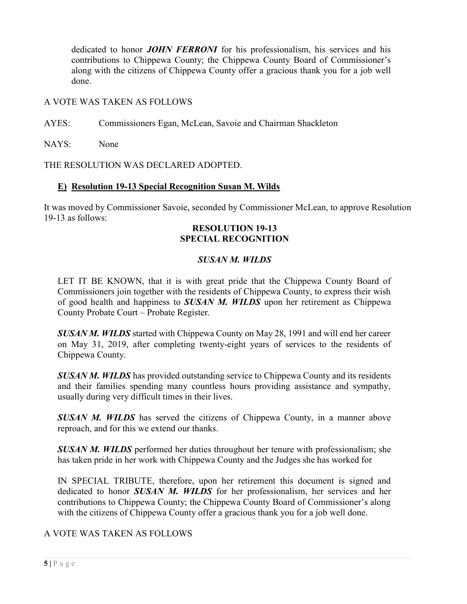dedicated to honor **JOHN FERRONI** for his professionalism, his services and his contributions to Chippewa County; the Chippewa County Board of Commissioner's along with the citizens of Chippewa County offer a gracious thank you for a job well done.

### A VOTE WAS TAKEN AS FOLLOWS

AYES: Commissioners Egan, McLean, Savoie and Chairman Shackleton

NAYS: None

THE RESOLUTION WAS DECLARED ADOPTED.

### E) Resolution 19-13 Special Recognition Susan M. Wilds

It was moved by Commissioner Savoie, seconded by Commissioner McLean, to approve Resolution 19-13 as follows:

## RESOLUTION 19-13 SPECIAL RECOGNITION

## SUSAN M. WILDS

LET IT BE KNOWN, that it is with great pride that the Chippewa County Board of Commissioners join together with the residents of Chippewa County, to express their wish of good health and happiness to **SUSAN M. WILDS** upon her retirement as Chippewa County Probate Court – Probate Register.

**SUSAN M. WILDS** started with Chippewa County on May 28, 1991 and will end her career on May 31, 2019, after completing twenty-eight years of services to the residents of Chippewa County.

**SUSAN M. WILDS** has provided outstanding service to Chippewa County and its residents and their families spending many countless hours providing assistance and sympathy, usually during very difficult times in their lives.

**SUSAN M. WILDS** has served the citizens of Chippewa County, in a manner above reproach, and for this we extend our thanks.

**SUSAN M. WILDS** performed her duties throughout her tenure with professionalism; she has taken pride in her work with Chippewa County and the Judges she has worked for

IN SPECIAL TRIBUTE, therefore, upon her retirement this document is signed and dedicated to honor **SUSAN M. WILDS** for her professionalism, her services and her contributions to Chippewa County; the Chippewa County Board of Commissioner's along with the citizens of Chippewa County offer a gracious thank you for a job well done.

## A VOTE WAS TAKEN AS FOLLOWS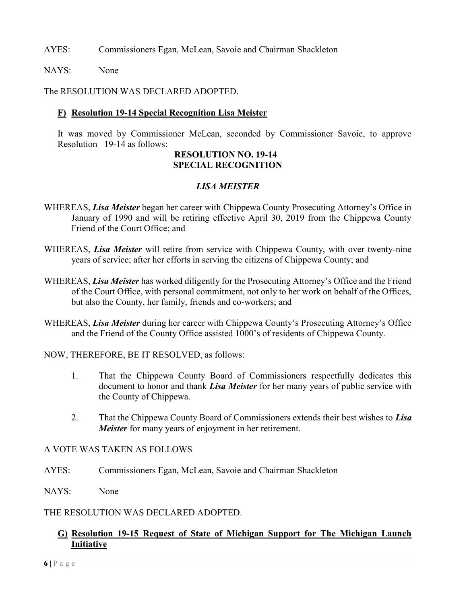AYES: Commissioners Egan, McLean, Savoie and Chairman Shackleton

NAYS: None

The RESOLUTION WAS DECLARED ADOPTED.

## F) Resolution 19-14 Special Recognition Lisa Meister

It was moved by Commissioner McLean, seconded by Commissioner Savoie, to approve Resolution 19-14 as follows:

### RESOLUTION NO. 19-14 SPECIAL RECOGNITION

# LISA MEISTER

- WHEREAS, *Lisa Meister* began her career with Chippewa County Prosecuting Attorney's Office in January of 1990 and will be retiring effective April 30, 2019 from the Chippewa County Friend of the Court Office; and
- WHEREAS, Lisa Meister will retire from service with Chippewa County, with over twenty-nine years of service; after her efforts in serving the citizens of Chippewa County; and
- WHEREAS, Lisa Meister has worked diligently for the Prosecuting Attorney's Office and the Friend of the Court Office, with personal commitment, not only to her work on behalf of the Offices, but also the County, her family, friends and co-workers; and
- WHEREAS, *Lisa Meister* during her career with Chippewa County's Prosecuting Attorney's Office and the Friend of the County Office assisted 1000's of residents of Chippewa County.
- NOW, THEREFORE, BE IT RESOLVED, as follows:
	- 1. That the Chippewa County Board of Commissioners respectfully dedicates this document to honor and thank *Lisa Meister* for her many years of public service with the County of Chippewa.
	- 2. That the Chippewa County Board of Commissioners extends their best wishes to Lisa Meister for many years of enjoyment in her retirement.

#### A VOTE WAS TAKEN AS FOLLOWS

- AYES: Commissioners Egan, McLean, Savoie and Chairman Shackleton
- NAYS: None

#### THE RESOLUTION WAS DECLARED ADOPTED.

### G) Resolution 19-15 Request of State of Michigan Support for The Michigan Launch Initiative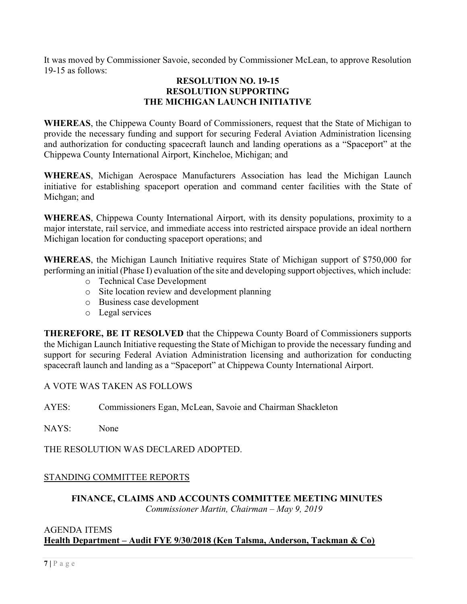It was moved by Commissioner Savoie, seconded by Commissioner McLean, to approve Resolution 19-15 as follows:

## RESOLUTION NO. 19-15 RESOLUTION SUPPORTING THE MICHIGAN LAUNCH INITIATIVE

WHEREAS, the Chippewa County Board of Commissioners, request that the State of Michigan to provide the necessary funding and support for securing Federal Aviation Administration licensing and authorization for conducting spacecraft launch and landing operations as a "Spaceport" at the Chippewa County International Airport, Kincheloe, Michigan; and

WHEREAS, Michigan Aerospace Manufacturers Association has lead the Michigan Launch initiative for establishing spaceport operation and command center facilities with the State of Michgan; and

WHEREAS, Chippewa County International Airport, with its density populations, proximity to a major interstate, rail service, and immediate access into restricted airspace provide an ideal northern Michigan location for conducting spaceport operations; and

WHEREAS, the Michigan Launch Initiative requires State of Michigan support of \$750,000 for performing an initial (Phase I) evaluation of the site and developing support objectives, which include:

- o Technical Case Development
- o Site location review and development planning
- o Business case development
- o Legal services

THEREFORE, BE IT RESOLVED that the Chippewa County Board of Commissioners supports the Michigan Launch Initiative requesting the State of Michigan to provide the necessary funding and support for securing Federal Aviation Administration licensing and authorization for conducting spacecraft launch and landing as a "Spaceport" at Chippewa County International Airport.

## A VOTE WAS TAKEN AS FOLLOWS

AYES: Commissioners Egan, McLean, Savoie and Chairman Shackleton

NAYS: None

THE RESOLUTION WAS DECLARED ADOPTED.

# STANDING COMMITTEE REPORTS

### FINANCE, CLAIMS AND ACCOUNTS COMMITTEE MEETING MINUTES Commissioner Martin, Chairman – May 9, 2019

### AGENDA ITEMS Health Department – Audit FYE 9/30/2018 (Ken Talsma, Anderson, Tackman & Co)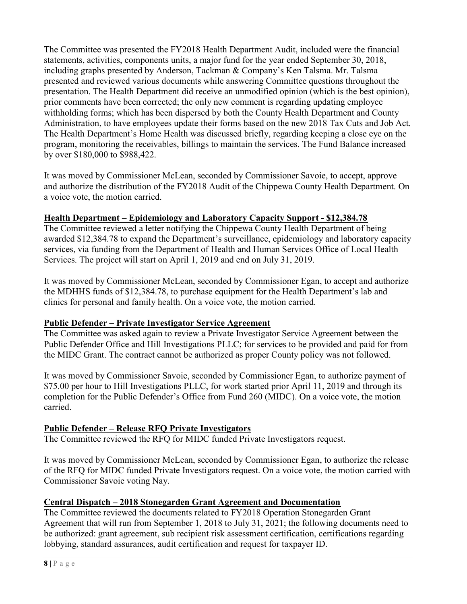The Committee was presented the FY2018 Health Department Audit, included were the financial statements, activities, components units, a major fund for the year ended September 30, 2018, including graphs presented by Anderson, Tackman & Company's Ken Talsma. Mr. Talsma presented and reviewed various documents while answering Committee questions throughout the presentation. The Health Department did receive an unmodified opinion (which is the best opinion), prior comments have been corrected; the only new comment is regarding updating employee withholding forms; which has been dispersed by both the County Health Department and County Administration, to have employees update their forms based on the new 2018 Tax Cuts and Job Act. The Health Department's Home Health was discussed briefly, regarding keeping a close eye on the program, monitoring the receivables, billings to maintain the services. The Fund Balance increased by over \$180,000 to \$988,422.

It was moved by Commissioner McLean, seconded by Commissioner Savoie, to accept, approve and authorize the distribution of the FY2018 Audit of the Chippewa County Health Department. On a voice vote, the motion carried.

# Health Department – Epidemiology and Laboratory Capacity Support - \$12,384.78

The Committee reviewed a letter notifying the Chippewa County Health Department of being awarded \$12,384.78 to expand the Department's surveillance, epidemiology and laboratory capacity services, via funding from the Department of Health and Human Services Office of Local Health Services. The project will start on April 1, 2019 and end on July 31, 2019.

It was moved by Commissioner McLean, seconded by Commissioner Egan, to accept and authorize the MDHHS funds of \$12,384.78, to purchase equipment for the Health Department's lab and clinics for personal and family health. On a voice vote, the motion carried.

## Public Defender – Private Investigator Service Agreement

The Committee was asked again to review a Private Investigator Service Agreement between the Public Defender Office and Hill Investigations PLLC; for services to be provided and paid for from the MIDC Grant. The contract cannot be authorized as proper County policy was not followed.

It was moved by Commissioner Savoie, seconded by Commissioner Egan, to authorize payment of \$75.00 per hour to Hill Investigations PLLC, for work started prior April 11, 2019 and through its completion for the Public Defender's Office from Fund 260 (MIDC). On a voice vote, the motion carried.

# Public Defender – Release RFQ Private Investigators

The Committee reviewed the RFQ for MIDC funded Private Investigators request.

It was moved by Commissioner McLean, seconded by Commissioner Egan, to authorize the release of the RFQ for MIDC funded Private Investigators request. On a voice vote, the motion carried with Commissioner Savoie voting Nay.

## Central Dispatch – 2018 Stonegarden Grant Agreement and Documentation

The Committee reviewed the documents related to FY2018 Operation Stonegarden Grant Agreement that will run from September 1, 2018 to July 31, 2021; the following documents need to be authorized: grant agreement, sub recipient risk assessment certification, certifications regarding lobbying, standard assurances, audit certification and request for taxpayer ID.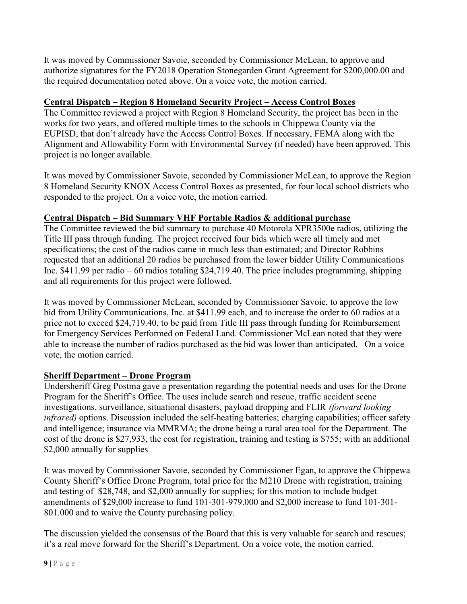It was moved by Commissioner Savoie, seconded by Commissioner McLean, to approve and authorize signatures for the FY2018 Operation Stonegarden Grant Agreement for \$200,000.00 and the required documentation noted above. On a voice vote, the motion carried.

# Central Dispatch – Region 8 Homeland Security Project – Access Control Boxes

The Committee reviewed a project with Region 8 Homeland Security, the project has been in the works for two years, and offered multiple times to the schools in Chippewa County via the EUPISD, that don't already have the Access Control Boxes. If necessary, FEMA along with the Alignment and Allowability Form with Environmental Survey (if needed) have been approved. This project is no longer available.

It was moved by Commissioner Savoie, seconded by Commissioner McLean, to approve the Region 8 Homeland Security KNOX Access Control Boxes as presented, for four local school districts who responded to the project. On a voice vote, the motion carried.

# Central Dispatch – Bid Summary VHF Portable Radios & additional purchase

The Committee reviewed the bid summary to purchase 40 Motorola XPR3500e radios, utilizing the Title III pass through funding. The project received four bids which were all timely and met specifications; the cost of the radios came in much less than estimated; and Director Robbins requested that an additional 20 radios be purchased from the lower bidder Utility Communications Inc. \$411.99 per radio – 60 radios totaling \$24,719.40. The price includes programming, shipping and all requirements for this project were followed.

It was moved by Commissioner McLean, seconded by Commissioner Savoie, to approve the low bid from Utility Communications, Inc. at \$411.99 each, and to increase the order to 60 radios at a price not to exceed \$24,719.40, to be paid from Title III pass through funding for Reimbursement for Emergency Services Performed on Federal Land. Commissioner McLean noted that they were able to increase the number of radios purchased as the bid was lower than anticipated. On a voice vote, the motion carried.

# Sheriff Department – Drone Program

Undersheriff Greg Postma gave a presentation regarding the potential needs and uses for the Drone Program for the Sheriff's Office. The uses include search and rescue, traffic accident scene investigations, surveillance, situational disasters, payload dropping and FLIR (forward looking infrared) options. Discussion included the self-heating batteries; charging capabilities; officer safety and intelligence; insurance via MMRMA; the drone being a rural area tool for the Department. The cost of the drone is \$27,933, the cost for registration, training and testing is \$755; with an additional \$2,000 annually for supplies

It was moved by Commissioner Savoie, seconded by Commissioner Egan, to approve the Chippewa County Sheriff's Office Drone Program, total price for the M210 Drone with registration, training and testing of \$28,748, and \$2,000 annually for supplies; for this motion to include budget amendments of \$29,000 increase to fund 101-301-979.000 and \$2,000 increase to fund 101-301- 801.000 and to waive the County purchasing policy.

The discussion yielded the consensus of the Board that this is very valuable for search and rescues; it's a real move forward for the Sheriff's Department. On a voice vote, the motion carried.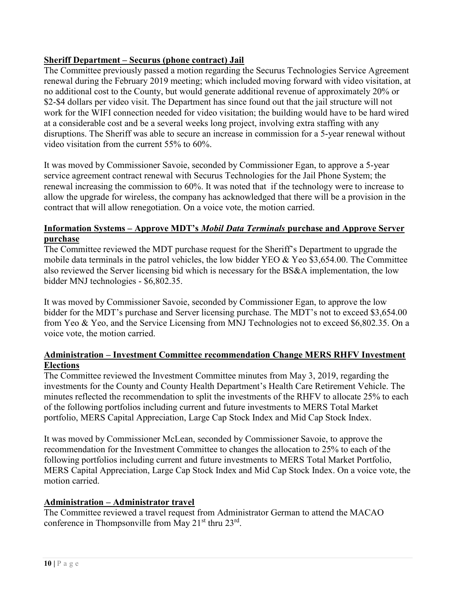## Sheriff Department – Securus (phone contract) Jail

The Committee previously passed a motion regarding the Securus Technologies Service Agreement renewal during the February 2019 meeting; which included moving forward with video visitation, at no additional cost to the County, but would generate additional revenue of approximately 20% or \$2-\$4 dollars per video visit. The Department has since found out that the jail structure will not work for the WIFI connection needed for video visitation; the building would have to be hard wired at a considerable cost and be a several weeks long project, involving extra staffing with any disruptions. The Sheriff was able to secure an increase in commission for a 5-year renewal without video visitation from the current 55% to 60%.

It was moved by Commissioner Savoie, seconded by Commissioner Egan, to approve a 5-year service agreement contract renewal with Securus Technologies for the Jail Phone System; the renewal increasing the commission to 60%. It was noted that if the technology were to increase to allow the upgrade for wireless, the company has acknowledged that there will be a provision in the contract that will allow renegotiation. On a voice vote, the motion carried.

## Information Systems – Approve MDT's Mobil Data Terminals purchase and Approve Server purchase

The Committee reviewed the MDT purchase request for the Sheriff's Department to upgrade the mobile data terminals in the patrol vehicles, the low bidder YEO & Yeo \$3,654.00. The Committee also reviewed the Server licensing bid which is necessary for the BS&A implementation, the low bidder MNJ technologies - \$6,802.35.

It was moved by Commissioner Savoie, seconded by Commissioner Egan, to approve the low bidder for the MDT's purchase and Server licensing purchase. The MDT's not to exceed \$3,654.00 from Yeo & Yeo, and the Service Licensing from MNJ Technologies not to exceed \$6,802.35. On a voice vote, the motion carried.

## Administration – Investment Committee recommendation Change MERS RHFV Investment Elections

The Committee reviewed the Investment Committee minutes from May 3, 2019, regarding the investments for the County and County Health Department's Health Care Retirement Vehicle. The minutes reflected the recommendation to split the investments of the RHFV to allocate 25% to each of the following portfolios including current and future investments to MERS Total Market portfolio, MERS Capital Appreciation, Large Cap Stock Index and Mid Cap Stock Index.

It was moved by Commissioner McLean, seconded by Commissioner Savoie, to approve the recommendation for the Investment Committee to changes the allocation to 25% to each of the following portfolios including current and future investments to MERS Total Market Portfolio, MERS Capital Appreciation, Large Cap Stock Index and Mid Cap Stock Index. On a voice vote, the motion carried.

#### Administration – Administrator travel

The Committee reviewed a travel request from Administrator German to attend the MACAO conference in Thompsonville from May 21<sup>st</sup> thru 23<sup>rd</sup>.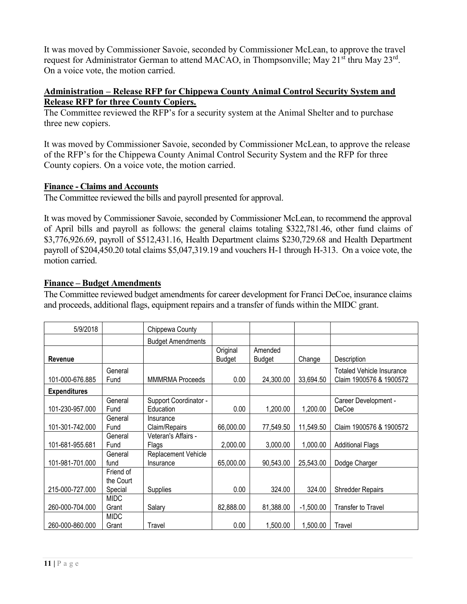It was moved by Commissioner Savoie, seconded by Commissioner McLean, to approve the travel request for Administrator German to attend MACAO, in Thompsonville; May 21<sup>st</sup> thru May 23<sup>rd</sup>. On a voice vote, the motion carried.

### Administration – Release RFP for Chippewa County Animal Control Security System and Release RFP for three County Copiers.

The Committee reviewed the RFP's for a security system at the Animal Shelter and to purchase three new copiers.

It was moved by Commissioner Savoie, seconded by Commissioner McLean, to approve the release of the RFP's for the Chippewa County Animal Control Security System and the RFP for three County copiers. On a voice vote, the motion carried.

## Finance - Claims and Accounts

The Committee reviewed the bills and payroll presented for approval.

It was moved by Commissioner Savoie, seconded by Commissioner McLean, to recommend the approval of April bills and payroll as follows: the general claims totaling \$322,781.46, other fund claims of \$3,776,926.69, payroll of \$512,431.16, Health Department claims \$230,729.68 and Health Department payroll of \$204,450.20 total claims \$5,047,319.19 and vouchers H-1 through H-313. On a voice vote, the motion carried.

### Finance – Budget Amendments

The Committee reviewed budget amendments for career development for Franci DeCoe, insurance claims and proceeds, additional flags, equipment repairs and a transfer of funds within the MIDC grant.

| 5/9/2018            |             | Chippewa County          |           |           |             |                                  |
|---------------------|-------------|--------------------------|-----------|-----------|-------------|----------------------------------|
|                     |             | <b>Budget Amendments</b> |           |           |             |                                  |
|                     |             |                          | Original  | Amended   |             |                                  |
| Revenue             |             |                          | Budget    | Budget    | Change      | Description                      |
|                     | General     |                          |           |           |             | <b>Totaled Vehicle Insurance</b> |
| 101-000-676.885     | Fund        | <b>MMMRMA</b> Proceeds   | 0.00      | 24,300.00 | 33,694.50   | Claim 1900576 & 1900572          |
| <b>Expenditures</b> |             |                          |           |           |             |                                  |
|                     | General     | Support Coordinator -    |           |           |             | Career Development -             |
| 101-230-957.000     | Fund        | Education                | 0.00      | 1,200.00  | 1,200.00    | DeCoe                            |
|                     | General     | Insurance                |           |           |             |                                  |
| 101-301-742.000     | Fund        | Claim/Repairs            | 66,000.00 | 77,549.50 | 11,549.50   | Claim 1900576 & 1900572          |
|                     | General     | Veteran's Affairs -      |           |           |             |                                  |
| 101-681-955.681     | Fund        | Flags                    | 2,000.00  | 3,000.00  | 1,000.00    | <b>Additional Flags</b>          |
|                     | General     | Replacement Vehicle      |           |           |             |                                  |
| 101-981-701.000     | fund        | Insurance                | 65,000.00 | 90,543.00 | 25,543.00   | Dodge Charger                    |
|                     | Friend of   |                          |           |           |             |                                  |
|                     | the Court   |                          |           |           |             |                                  |
| 215-000-727.000     | Special     | Supplies                 | 0.00      | 324.00    | 324.00      | <b>Shredder Repairs</b>          |
|                     | <b>MIDC</b> |                          |           |           |             |                                  |
| 260-000-704.000     | Grant       | Salary                   | 82,888.00 | 81,388.00 | $-1,500.00$ | Transfer to Travel               |
|                     | <b>MIDC</b> |                          |           |           |             |                                  |
| 260-000-860.000     | Grant       | Travel                   | 0.00      | 1,500.00  | 1,500.00    | Travel                           |